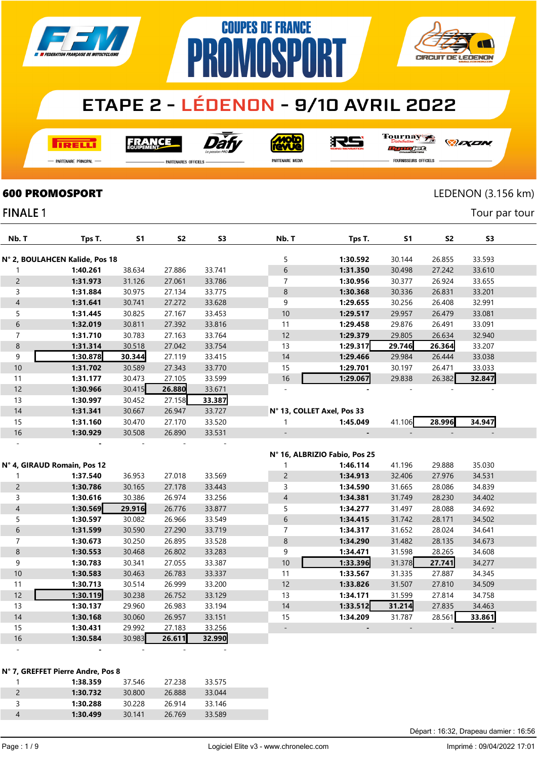

**COUPES DE FRANCE** 

**PROMOSPORT** 

**I तत्वच**र्च

Dat **FRANCE** 

**MOLO** 

沢ら

Tournay rse

*DEXEN* 

**CIRCUIT DE LEDENON** 

-<br>Partenaire Principal

**FINALE 1** 

**PARTENAIRES OFFICIELS** 

PARTENAIRE MEDIA

FOURNISSEURS OFFICIELS

#### **600 PROMOSPORT** LEDENON (3.156 km)

Tour par tour

| Nb. T                    | Tps T.                            | <b>S1</b> | S <sub>2</sub> | S <sub>3</sub> | Nb. T                      | Tps T.                        | S1     | S <sub>2</sub> | S3     |  |
|--------------------------|-----------------------------------|-----------|----------------|----------------|----------------------------|-------------------------------|--------|----------------|--------|--|
|                          | N° 2, BOULAHCEN Kalide, Pos 18    |           |                |                | 5                          | 1:30.592                      | 30.144 | 26.855         | 33.593 |  |
| 1                        | 1:40.261                          | 38.634    | 27.886         | 33.741         | $\boldsymbol{6}$           | 1:31.350                      | 30.498 | 27.242         | 33.610 |  |
| $\overline{c}$           | 1:31.973                          | 31.126    | 27.061         | 33.786         | 7                          | 1:30.956                      | 30.377 | 26.924         | 33.655 |  |
| 3                        | 1:31.884                          | 30.975    | 27.134         | 33.775         | 8                          | 1:30.368                      | 30.336 | 26.831         | 33.201 |  |
| $\overline{\mathcal{A}}$ | 1:31.641                          | 30.741    | 27.272         | 33.628         | 9                          | 1:29.655                      | 30.256 | 26.408         | 32.991 |  |
| 5                        | 1:31.445                          | 30.825    | 27.167         | 33.453         | 10                         | 1:29.517                      | 29.957 | 26.479         | 33.081 |  |
| 6                        | 1:32.019                          | 30.811    | 27.392         | 33.816         | 11                         | 1:29.458                      | 29.876 | 26.491         | 33.091 |  |
| $\overline{7}$           | 1:31.710                          | 30.783    | 27.163         | 33.764         | 12                         | 1:29.379                      | 29.805 | 26.634         | 32.940 |  |
| $\bf 8$                  | 1:31.314                          | 30.518    | 27.042         | 33.754         | 13                         | 1:29.317                      | 29.746 | 26.364         | 33.207 |  |
| 9                        | 1:30.878                          | 30.344    | 27.119         | 33.415         | 14                         | 1:29.466                      | 29.984 | 26.444         | 33.038 |  |
| $10$                     |                                   | 30.589    |                |                |                            | 1:29.701                      |        |                |        |  |
|                          | 1:31.702                          |           | 27.343         | 33.770         | 15<br>16                   |                               | 30.197 | 26.471         | 33.033 |  |
| 11                       | 1:31.177                          | 30.473    | 27.105         | 33.599         | $\sim$                     | 1:29.067                      | 29.838 | 26.382         | 32.847 |  |
| 12                       | 1:30.966                          | 30.415    | 26.880         | 33.671         |                            |                               |        |                |        |  |
| 13                       | 1:30.997                          | 30.452    | 27.158         | 33.387         |                            |                               |        |                |        |  |
| $14$                     | 1:31.341                          | 30.667    | 26.947         | 33.727         | N° 13, COLLET Axel, Pos 33 |                               |        |                |        |  |
| 15                       | 1:31.160                          | 30.470    | 27.170         | 33.520         | 1                          | 1:45.049                      | 41.106 | 28.996         | 34.947 |  |
| 16                       | 1:30.929                          | 30.508    | 26.890         | 33.531         |                            |                               |        |                |        |  |
| $\overline{a}$           |                                   |           |                |                |                            |                               |        |                |        |  |
|                          |                                   |           |                |                |                            | Nº 16, ALBRIZIO Fabio, Pos 25 |        |                |        |  |
|                          | N° 4, GIRAUD Romain, Pos 12       |           |                |                | $\mathbf{1}$               | 1:46.114                      | 41.196 | 29.888         | 35.030 |  |
| 1                        | 1:37.540                          | 36.953    | 27.018         | 33.569         | $\overline{c}$             | 1:34.913                      | 32.406 | 27.976         | 34.531 |  |
| $\overline{c}$           | 1:30.786                          | 30.165    | 27.178         | 33.443         | 3                          | 1:34.590                      | 31.665 | 28.086         | 34.839 |  |
| 3                        | 1:30.616                          | 30.386    | 26.974         | 33.256         | $\overline{4}$             | 1:34.381                      | 31.749 | 28.230         | 34.402 |  |
| $\overline{4}$           | 1:30.569                          | 29.916    | 26.776         | 33.877         | 5                          | 1:34.277                      | 31.497 | 28.088         | 34.692 |  |
| 5                        | 1:30.597                          | 30.082    | 26.966         | 33.549         | $\,$ 6 $\,$                | 1:34.415                      | 31.742 | 28.171         | 34.502 |  |
| 6                        | 1:31.599                          | 30.590    | 27.290         | 33.719         | 7                          | 1:34.317                      | 31.652 | 28.024         | 34.641 |  |
| $\overline{7}$           | 1:30.673                          | 30.250    | 26.895         | 33.528         | $\bf 8$                    | 1:34.290                      | 31.482 | 28.135         | 34.673 |  |
| 8                        | 1:30.553                          | 30.468    | 26.802         | 33.283         | 9                          | 1:34.471                      | 31.598 | 28.265         | 34.608 |  |
| 9                        | 1:30.783                          | 30.341    | 27.055         | 33.387         | 10                         | 1:33.396                      | 31.378 | 27.741         | 34.277 |  |
| $10$                     | 1:30.583                          | 30.463    | 26.783         | 33.337         | 11                         | 1:33.567                      | 31.335 | 27.887         | 34.345 |  |
| 11                       | 1:30.713                          | 30.514    | 26.999         | 33.200         | 12                         | 1:33.826                      | 31.507 | 27.810         | 34.509 |  |
| 12                       | 1:30.119                          | 30.238    | 26.752         | 33.129         | 13                         | 1:34.171                      | 31.599 | 27.814         | 34.758 |  |
| 13                       | 1:30.137                          | 29.960    | 26.983         | 33.194         | 14                         | 1:33.512                      | 31.214 | 27.835         | 34.463 |  |
| 14                       | 1:30.168                          | 30.060    | 26.957         | 33.151         | 15                         | 1:34.209                      | 31.787 | 28.561         | 33.861 |  |
| 15                       | 1:30.431                          | 29.992    | 27.183         | 33.256         | $\overline{a}$             |                               |        |                |        |  |
| 16                       | 1:30.584                          | 30.983    | 26.611         | 32.990         |                            |                               |        |                |        |  |
|                          |                                   |           |                |                |                            |                               |        |                |        |  |
|                          |                                   |           |                |                |                            |                               |        |                |        |  |
|                          | N° 7, GREFFET Pierre Andre, Pos 8 |           |                |                |                            |                               |        |                |        |  |
| $\mathbf{1}$             | 1:38.359                          | 37.546    | 27.238         | 33.575         |                            |                               |        |                |        |  |
|                          |                                   |           |                |                |                            |                               |        |                |        |  |

|   | 1:38.359 | 37.546 | 27.238 | 33.575 |
|---|----------|--------|--------|--------|
|   | 1:30.732 | 30,800 | 26.888 | 33.044 |
| ર | 1:30.288 | 30.228 | 26.914 | 33.146 |
| 4 | 1:30.499 | 30.141 | 26.769 | 33.589 |
|   |          |        |        |        |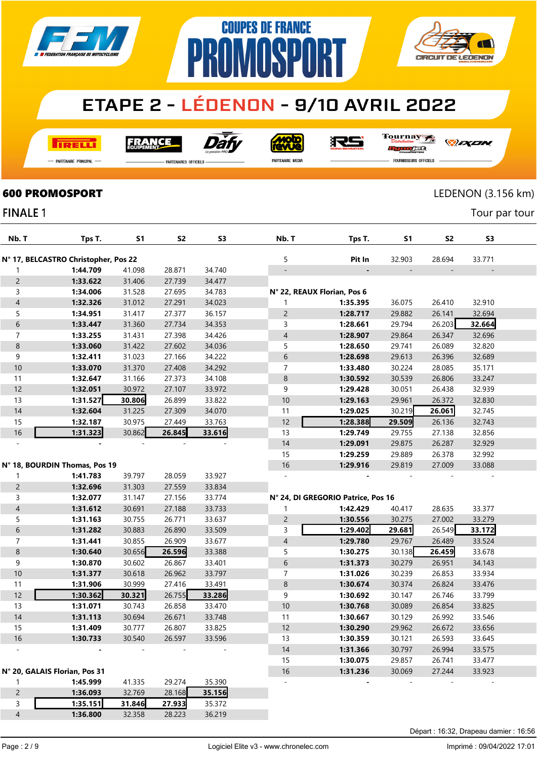

# PR **AMASPART**



### **ETAPE 2 - LÉDENON - 9/10 AVRIL 2022**

**COUPES DE FRANCE** 

**I तत्वच**र्च

Dàt **FRANCE** 

**Moto**<br>AVVe

RS

Tournay ra

*DEXEN* 

- Partenaire Principal

**FINALE 1** 

**PARTENAIRES OFFICIELS** 

PARTENAIRE MEDIA

FOURNISSEURS OFFICIELS

### **600 PROMOSPORT** LEDENON (3.156 km)

Tour par tour

| Nb. T          | Tps T.                               | <b>S1</b> | S <sub>2</sub> | S3     | Nb. T                       | Tps T.                             | S1     | S <sub>2</sub> | S <sub>3</sub> |  |
|----------------|--------------------------------------|-----------|----------------|--------|-----------------------------|------------------------------------|--------|----------------|----------------|--|
|                | N° 17, BELCASTRO Christopher, Pos 22 |           |                |        | 5                           | Pit In                             | 32.903 | 28.694         | 33.771         |  |
| $\mathbf{1}$   | 1:44.709                             | 41.098    | 28.871         | 34.740 |                             |                                    |        |                |                |  |
| $\overline{c}$ | 1:33.622                             | 31.406    | 27.739         | 34.477 |                             |                                    |        |                |                |  |
| 3              | 1:34.006                             | 31.528    | 27.695         | 34.783 | N° 22, REAUX Florian, Pos 6 |                                    |        |                |                |  |
| $\overline{4}$ | 1:32.326                             | 31.012    | 27.291         | 34.023 |                             | 1:35.395                           | 36.075 | 26.410         | 32.910         |  |
| 5              | 1:34.951                             | 31.417    | 27.377         | 36.157 | $\overline{c}$              | 1:28.717                           | 29.882 | 26.141         | 32.694         |  |
| 6              | 1:33.447                             | 31.360    | 27.734         | 34.353 | 3                           | 1:28.661                           | 29.794 | 26.203         | 32.664         |  |
| $\overline{7}$ | 1:33.255                             | 31.431    | 27.398         | 34.426 | $\overline{4}$              | 1:28.907                           | 29.864 | 26.347         | 32.696         |  |
| $\bf 8$        | 1:33.060                             | 31.422    | 27.602         | 34.036 | 5                           | 1:28.650                           | 29.741 | 26.089         | 32.820         |  |
| 9              | 1:32.411                             | 31.023    | 27.166         | 34.222 | 6                           | 1:28.698                           | 29.613 | 26.396         | 32.689         |  |
| 10             | 1:33.070                             | 31.370    | 27.408         | 34.292 | 7                           | 1:33.480                           | 30.224 | 28.085         | 35.171         |  |
| 11             | 1:32.647                             | 31.166    | 27.373         | 34.108 | $\,8\,$                     | 1:30.592                           | 30.539 | 26.806         | 33.247         |  |
| 12             | 1:32.051                             | 30.972    | 27.107         | 33.972 | 9                           | 1:29.428                           | 30.051 | 26.438         | 32.939         |  |
| 13             | 1:31.527                             | 30.806    | 26.899         | 33.822 | 10                          | 1:29.163                           | 29.961 | 26.372         | 32.830         |  |
| 14             | 1:32.604                             | 31.225    | 27.309         | 34.070 | 11                          | 1:29.025                           | 30.219 | 26.061         | 32.745         |  |
| 15             | 1:32.187                             | 30.975    | 27.449         | 33.763 | 12                          | 1:28.388                           | 29.509 | 26.136         | 32.743         |  |
| $16\,$         | 1:31.323                             | 30.862    | 26.845         | 33.616 | 13                          | 1:29.749                           | 29.755 | 27.138         | 32.856         |  |
|                |                                      |           |                |        | 14                          | 1:29.091                           | 29.875 | 26.287         | 32.929         |  |
|                |                                      |           |                |        | 15                          | 1:29.259                           | 29.889 | 26.378         | 32.992         |  |
|                | N° 18, BOURDIN Thomas, Pos 19        |           |                |        | $16$                        | 1:29.916                           | 29.819 | 27.009         | 33.088         |  |
| $\mathbf{1}$   | 1:41.783                             | 39.797    | 28.059         | 33.927 |                             |                                    |        |                |                |  |
| $\overline{c}$ | 1:32.696                             | 31.303    | 27.559         | 33.834 |                             |                                    |        |                |                |  |
| 3              | 1:32.077                             | 31.147    | 27.156         | 33.774 |                             | N° 24, DI GREGORIO Patrice, Pos 16 |        |                |                |  |
| $\overline{4}$ | 1:31.612                             | 30.691    | 27.188         | 33.733 | 1                           | 1:42.429                           | 40.417 | 28.635         | 33.377         |  |
| 5              | 1:31.163                             | 30.755    | 26.771         | 33.637 | $\overline{c}$              | 1:30.556                           | 30.275 | 27.002         | 33.279         |  |
| 6              | 1:31.282                             | 30.883    | 26.890         | 33.509 | 3                           | 1:29.402                           | 29.681 | 26.549         | 33.172         |  |
| $\overline{7}$ | 1:31.441                             | 30.855    | 26.909         | 33.677 | $\overline{4}$              | 1:29.780                           | 29.767 | 26.489         | 33.524         |  |
| $\bf 8$        | 1:30.640                             | 30.656    | 26.596         | 33.388 | 5                           | 1:30.275                           | 30.138 | 26.459         | 33.678         |  |
| 9              | 1:30.870                             | 30.602    | 26.867         | 33.401 | $\,$ 6 $\,$                 | 1:31.373                           | 30.279 | 26.951         | 34.143         |  |
| $10$           | 1:31.377                             | 30.618    | 26.962         | 33.797 | 7                           | 1:31.026                           | 30.239 | 26.853         | 33.934         |  |
| 11             | 1:31.906                             | 30.999    | 27.416         | 33.491 | $\,8\,$                     | 1:30.674                           | 30.374 | 26.824         | 33.476         |  |
| 12             | 1:30.362                             | 30.321    | 26.755         | 33.286 | 9                           | 1:30.692                           | 30.147 | 26.746         | 33.799         |  |
| 13             | 1:31.071                             | 30.743    | 26.858         | 33.470 | 10                          | 1:30.768                           | 30.089 | 26.854         | 33.825         |  |
| 14             | 1:31.113                             | 30.694    | 26.671         | 33.748 | 11                          | 1:30.667                           | 30.129 | 26.992         | 33.546         |  |
| 15             | 1:31.409                             | 30.777    | 26.807         | 33.825 | 12                          | 1:30.290                           | 29.962 | 26.672         | 33.656         |  |
| 16             | 1:30.733                             | 30.540    | 26.597         | 33.596 | 13                          | 1:30.359                           | 30.121 | 26.593         | 33.645         |  |
|                |                                      |           |                |        | $14$                        | 1:31.366                           | 30.797 | 26.994         | 33.575         |  |
|                |                                      |           |                |        | 15                          | 1:30.075                           | 29.857 | 26.741         | 33.477         |  |
|                | N° 20, GALAIS Florian, Pos 31        |           |                |        | $16\,$                      | 1:31.236                           | 30.069 | 27.244         | 33.923         |  |
| $\mathbf{1}$   | 1:45.999                             | 41.335    | 29.274         | 35.390 |                             |                                    |        |                |                |  |
| $\overline{c}$ | 1:36.093                             | 32.769    | 28.168         | 35.156 |                             |                                    |        |                |                |  |
| 3              | 1:35.151                             | 31.846    | 27.933         | 35.372 |                             |                                    |        |                |                |  |
| $\overline{4}$ | 1:36.800                             | 32.358    | 28.223         | 36.219 |                             |                                    |        |                |                |  |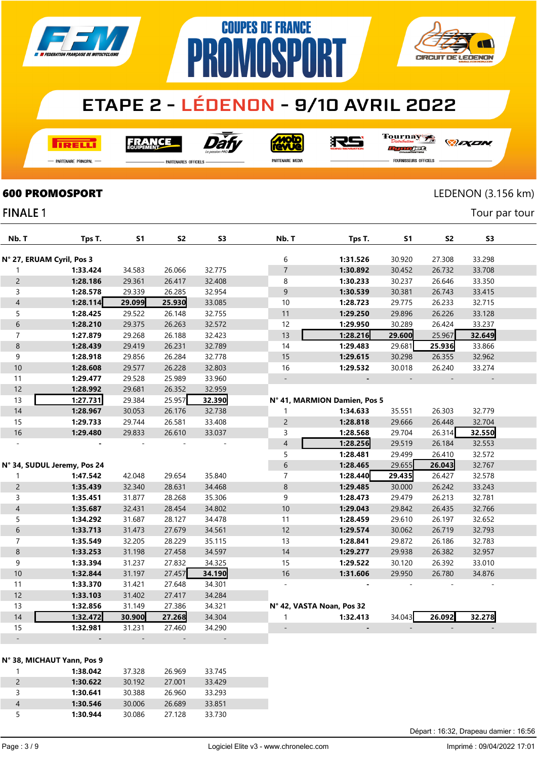

**COUPES DE FRANCE** 

**AMASPART** 

**I तत्वच**र्च

Dat **FRANCE** 

**Moto** 

RS

Tournay ra

*DEXEN* 

**CIRCUIT DE LEDENON** 

- Partenaire Principal

**PARTENAIRES OFFICIELS** 

PR

PARTENAIRE MEDIA

FOURNISSEURS OFFICIELS

**600 PROMOSPORT** LEDENON (3.156 km)

Tour par tour

#### **FINALE 1**

| Nb. T                     | Tps T.                      | S1     | S <sub>2</sub> | S <sub>3</sub> | Nb. T                     | Tps T.                       | <b>S1</b> | S <sub>2</sub> | S3     |  |
|---------------------------|-----------------------------|--------|----------------|----------------|---------------------------|------------------------------|-----------|----------------|--------|--|
| N° 27, ERUAM Cyril, Pos 3 |                             |        |                |                | 6                         | 1:31.526                     | 30.920    | 27.308         | 33.298 |  |
| 1                         | 1:33.424                    | 34.583 | 26.066         | 32.775         | $\overline{7}$            | 1:30.892                     | 30.452    | 26.732         | 33.708 |  |
| $\overline{c}$            | 1:28.186                    | 29.361 | 26.417         | 32.408         | 8                         | 1:30.233                     | 30.237    | 26.646         | 33.350 |  |
| 3                         | 1:28.578                    | 29.339 | 26.285         | 32.954         | 9                         | 1:30.539                     | 30.381    | 26.743         | 33.415 |  |
| $\overline{\mathcal{L}}$  | 1:28.114                    | 29.099 | 25.930         | 33.085         | 10                        | 1:28.723                     | 29.775    | 26.233         | 32.715 |  |
| 5                         | 1:28.425                    | 29.522 | 26.148         | 32.755         | 11                        | 1:29.250                     | 29.896    | 26.226         | 33.128 |  |
| 6                         | 1:28.210                    | 29.375 | 26.263         | 32.572         | 12                        | 1:29.950                     | 30.289    | 26.424         | 33.237 |  |
| $\overline{7}$            | 1:27.879                    | 29.268 | 26.188         | 32.423         | 13                        | 1:28.216                     | 29.600    | 25.967         | 32.649 |  |
| 8                         | 1:28.439                    | 29.419 | 26.231         | 32.789         | 14                        | 1:29.483                     | 29.681    | 25.936         | 33.866 |  |
| 9                         | 1:28.918                    | 29.856 | 26.284         | 32.778         | 15                        | 1:29.615                     | 30.298    | 26.355         | 32.962 |  |
| 10                        | 1:28.608                    | 29.577 | 26.228         | 32.803         | 16                        | 1:29.532                     | 30.018    | 26.240         | 33.274 |  |
| 11                        | 1:29.477                    | 29.528 | 25.989         | 33.960         | $\overline{a}$            |                              |           |                |        |  |
| 12                        | 1:28.992                    | 29.681 | 26.352         | 32.959         |                           |                              |           |                |        |  |
| 13                        | 1:27.731                    | 29.384 | 25.957         | 32.390         |                           | N° 41, MARMION Damien, Pos 5 |           |                |        |  |
| 14                        | 1:28.967                    | 30.053 | 26.176         | 32.738         | 1                         | 1:34.633                     | 35.551    | 26.303         | 32.779 |  |
| 15                        | 1:29.733                    | 29.744 | 26.581         | 33.408         | $\overline{c}$            | 1:28.818                     | 29.666    | 26.448         | 32.704 |  |
| 16                        | 1:29.480                    | 29.833 | 26.610         | 33.037         | 3                         | 1:28.568                     | 29.704    | 26.314         | 32.550 |  |
|                           |                             |        |                |                | $\overline{\mathcal{L}}$  | 1:28.256                     | 29.519    | 26.184         | 32.553 |  |
|                           |                             |        |                |                | 5                         | 1:28.481                     | 29.499    | 26.410         | 32.572 |  |
|                           | N° 34, SUDUL Jeremy, Pos 24 |        |                |                | 6                         | 1:28.465                     | 29.655    | 26.043         | 32.767 |  |
| 1                         | 1:47.542                    | 42.048 | 29.654         | 35.840         | $\overline{7}$            | 1:28.440                     | 29.435    | 26.427         | 32.578 |  |
| $\overline{c}$            | 1:35.439                    | 32.340 | 28.631         | 34.468         | 8                         | 1:29.485                     | 30.000    | 26.242         | 33.243 |  |
| 3                         | 1:35.451                    | 31.877 | 28.268         | 35.306         | 9                         | 1:28.473                     | 29.479    | 26.213         | 32.781 |  |
| $\overline{\mathcal{L}}$  | 1:35.687                    | 32.431 | 28.454         | 34.802         | 10                        | 1:29.043                     | 29.842    | 26.435         | 32.766 |  |
| 5                         | 1:34.292                    | 31.687 | 28.127         | 34.478         | 11                        | 1:28.459                     | 29.610    | 26.197         | 32.652 |  |
| 6                         | 1:33.713                    | 31.473 | 27.679         | 34.561         | 12                        | 1:29.574                     | 30.062    | 26.719         | 32.793 |  |
| 7                         | 1:35.549                    | 32.205 | 28.229         | 35.115         | 13                        | 1:28.841                     | 29.872    | 26.186         | 32.783 |  |
| 8                         | 1:33.253                    | 31.198 | 27.458         | 34.597         | 14                        | 1:29.277                     | 29.938    | 26.382         | 32.957 |  |
| 9                         | 1:33.394                    | 31.237 | 27.832         | 34.325         | 15                        | 1:29.522                     | 30.120    | 26.392         | 33.010 |  |
| $10$                      | 1:32.844                    | 31.197 | 27.457         | 34.190         | 16                        | 1:31.606                     | 29.950    | 26.780         | 34.876 |  |
| 11                        | 1:33.370                    | 31.421 | 27.648         | 34.301         |                           |                              |           |                |        |  |
| 12                        | 1:33.103                    | 31.402 | 27.417         | 34.284         |                           |                              |           |                |        |  |
| 13                        | 1:32.856                    | 31.149 | 27.386         | 34.321         | N° 42, VASTA Noan, Pos 32 |                              |           |                |        |  |
| 14                        | 1:32.472                    | 30.900 | 27.268         | 34.304         | 1                         | 1:32.413                     | 34.043    | 26.092         | 32.278 |  |
| 15                        | 1:32.981                    | 31.231 | 27.460         | 34.290         |                           |                              |           |                |        |  |
|                           |                             |        |                |                |                           |                              |           |                |        |  |

|  |  |  | N° 38, MICHAUT Yann, Pos 9 |  |  |  |
|--|--|--|----------------------------|--|--|--|
|--|--|--|----------------------------|--|--|--|

|   | 1:38.042 | 37.328 | 26.969 | 33.745 |  |
|---|----------|--------|--------|--------|--|
|   | 1:30.622 | 30 192 | 27,001 | 33429  |  |
|   | 1:30.641 | 30.388 | 26.960 | 33 293 |  |
| 4 | 1:30.546 | 30.006 | 26.689 | 33.851 |  |
|   | 1:30.944 | 30.086 | 27 128 | 33.730 |  |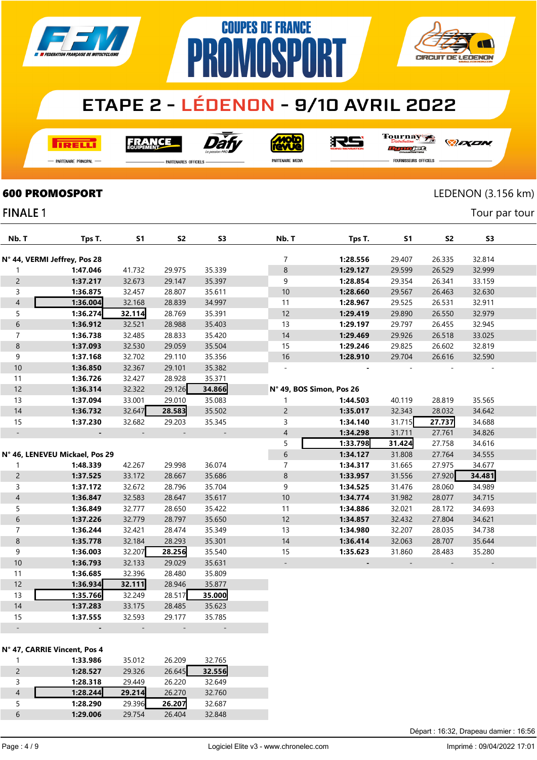

**COUPES DE FRANCE** 

**PROMOSPORT** 

**I तत्वच**र्च

Dăf **FRANCE** 

**Moto**<br>AVUe

RS

Tournay n <del>n i</del>

*DEXEN* orse

- Partenaire Principal

**PARTENAIRES OFFICIELS** 

PARTENAIRE MEDIA

**FOURNISSEURS OFFICIELS** 

**600 PROMOSPORT** LEDENON (3.156 km)

**AT** 

**CIRCUIT DE LEDENON** 

Tour par tour

#### **FINALE 1**

| Nb. T                    | Tps T.                         | <b>S1</b> | S <sub>2</sub> | S3                       | Nb. T                    | Tps T.   | S1     | S2     | S3     |  |
|--------------------------|--------------------------------|-----------|----------------|--------------------------|--------------------------|----------|--------|--------|--------|--|
|                          | N° 44, VERMI Jeffrey, Pos 28   |           |                |                          | 7                        | 1:28.556 | 29.407 | 26.335 | 32.814 |  |
|                          | 1:47.046                       | 41.732    | 29.975         | 35.339                   | $\bf 8$                  | 1:29.127 | 29.599 | 26.529 | 32.999 |  |
| 1                        | 1:37.217                       |           | 29.147         | 35.397                   |                          |          |        |        |        |  |
| $\overline{c}$           |                                | 32.673    |                |                          | 9                        | 1:28.854 | 29.354 | 26.341 | 33.159 |  |
| $\mathsf{3}$             | 1:36.875                       | 32.457    | 28.807         | 35.611                   | $10\,$                   | 1:28.660 | 29.567 | 26.463 | 32.630 |  |
| $\overline{4}$           | 1:36.004                       | 32.168    | 28.839         | 34.997                   | 11                       | 1:28.967 | 29.525 | 26.531 | 32.911 |  |
| 5                        | 1:36.274                       | 32.114    | 28.769         | 35.391                   | 12                       | 1:29.419 | 29.890 | 26.550 | 32.979 |  |
| $\boldsymbol{6}$         | 1:36.912                       | 32.521    | 28.988         | 35.403                   | 13                       | 1:29.197 | 29.797 | 26.455 | 32.945 |  |
| $\overline{7}$           | 1:36.738                       | 32.485    | 28.833         | 35.420                   | 14                       | 1:29.469 | 29.926 | 26.518 | 33.025 |  |
| $\bf 8$                  | 1:37.093                       | 32.530    | 29.059         | 35.504                   | 15                       | 1:29.246 | 29.825 | 26.602 | 32.819 |  |
| 9                        | 1:37.168                       | 32.702    | 29.110         | 35.356                   | $16$                     | 1:28.910 | 29.704 | 26.616 | 32.590 |  |
| 10                       | 1:36.850                       | 32.367    | 29.101         | 35.382                   | $\sim$                   |          |        |        |        |  |
| 11                       | 1:36.726                       | 32.427    | 28.928         | 35.371                   |                          |          |        |        |        |  |
| 12                       | 1:36.314                       | 32.322    | 29.126         | 34.866                   | N° 49, BOS Simon, Pos 26 |          |        |        |        |  |
| 13                       | 1:37.094                       | 33.001    | 29.010         | 35.083                   | 1                        | 1:44.503 | 40.119 | 28.819 | 35.565 |  |
| 14                       | 1:36.732                       | 32.647    | 28.583         | 35.502                   | $\overline{c}$           | 1:35.017 | 32.343 | 28.032 | 34.642 |  |
| 15                       | 1:37.230                       | 32.682    | 29.203         | 35.345                   | 3                        | 1:34.140 | 31.715 | 27.737 | 34.688 |  |
| $\Box$                   |                                |           |                | $\overline{\phantom{a}}$ | 4                        | 1:34.298 | 31.711 | 27.761 | 34.826 |  |
|                          |                                |           |                |                          | 5                        | 1:33.798 | 31.424 | 27.758 | 34.616 |  |
|                          | N° 46, LENEVEU Mickael, Pos 29 |           |                |                          | 6                        | 1:34.127 | 31.808 | 27.764 | 34.555 |  |
| 1                        | 1:48.339                       | 42.267    | 29.998         | 36.074                   | 7                        | 1:34.317 | 31.665 | 27.975 | 34.677 |  |
| $\overline{c}$           | 1:37.525                       | 33.172    | 28.667         | 35.686                   | 8                        | 1:33.957 | 31.556 | 27.920 | 34.481 |  |
| 3                        | 1:37.172                       | 32.672    | 28.796         | 35.704                   | 9                        | 1:34.525 | 31.476 | 28.060 | 34.989 |  |
| $\overline{\mathcal{L}}$ | 1:36.847                       | 32.583    | 28.647         | 35.617                   | 10                       | 1:34.774 | 31.982 | 28.077 | 34.715 |  |
| 5                        | 1:36.849                       | 32.777    | 28.650         | 35.422                   | 11                       | 1:34.886 | 32.021 | 28.172 | 34.693 |  |
| $\boldsymbol{6}$         | 1:37.226                       | 32.779    | 28.797         | 35.650                   | 12                       | 1:34.857 | 32.432 | 27.804 | 34.621 |  |
| $\overline{7}$           | 1:36.244                       | 32.421    | 28.474         | 35.349                   | 13                       | 1:34.980 | 32.207 | 28.035 | 34.738 |  |
| $\bf 8$                  | 1:35.778                       | 32.184    | 28.293         | 35.301                   | $14$                     | 1:36.414 | 32.063 | 28.707 | 35.644 |  |
| 9                        | 1:36.003                       | 32.207    | 28.256         | 35.540                   | 15                       | 1:35.623 | 31.860 | 28.483 | 35.280 |  |
| $10$                     | 1:36.793                       | 32.133    | 29.029         | 35.631                   | $\overline{\phantom{a}}$ |          |        |        |        |  |
| 11                       | 1:36.685                       | 32.396    | 28.480         | 35.809                   |                          |          |        |        |        |  |
| 12                       | 1:36.934                       | 32.111    | 28.946         | 35.877                   |                          |          |        |        |        |  |
| 13                       | 1:35.766                       | 32.249    | 28.517         | 35.000                   |                          |          |        |        |        |  |
| $14$                     | 1:37.283                       | 33.175    | 28.485         | 35.623                   |                          |          |        |        |        |  |
| 15                       | 1:37.555                       | 32.593    | 29.177         | 35.785                   |                          |          |        |        |        |  |
| $\overline{\phantom{a}}$ |                                |           |                |                          |                          |          |        |        |        |  |
|                          |                                |           |                |                          |                          |          |        |        |        |  |
|                          | N° 47, CARRIE Vincent, Pos 4   |           |                |                          |                          |          |        |        |        |  |
| 1                        | 1:33.986                       | 35.012    | 26.209         | 32.765                   |                          |          |        |        |        |  |
|                          | 4.20.52                        | 20.225    |                | $26645$ $22556$          |                          |          |        |        |        |  |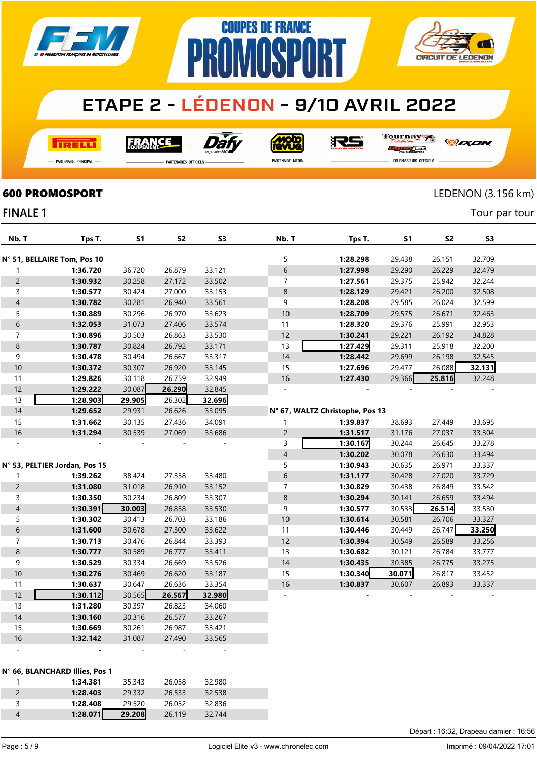

**COUPES DE FRANCE** 

**NMNSP** 

**I तत्वच**र्च

Dat **FRANCE** 

**Molo**<br>AVVe

RS

Tournay JEG

*DEXEN* 

**CIRCUIT DE LEDENON** 

- Partenaire Principal

**FINALE 1** 

**PARTENAIRES OFFICIELS** 

PR

PARTENAIRE MEDIA

FOURNISSEURS OFFICIELS

#### **600 PROMOSPORT** LEDENON (3.156 km)

 $\overline{\mathcal{N}}$ 

Tour par tour

| Nb. T          | Tps T.                         | <b>S1</b> | S <sub>2</sub> | S <sub>3</sub> | Nb. T          | Tps T.                          | S1     | S <sub>2</sub> | S3     |  |
|----------------|--------------------------------|-----------|----------------|----------------|----------------|---------------------------------|--------|----------------|--------|--|
|                | N° 51, BELLAIRE Tom, Pos 10    |           |                |                | 5              | 1:28.298                        | 29.438 | 26.151         | 32.709 |  |
| 1              | 1:36.720                       | 36.720    | 26.879         | 33.121         | 6              | 1:27.998                        | 29.290 | 26.229         | 32.479 |  |
| $\overline{c}$ | 1:30.932                       | 30.258    | 27.172         | 33.502         | $\overline{7}$ | 1:27.561                        | 29.375 | 25.942         | 32.244 |  |
| 3              | 1:30.577                       | 30.424    | 27.000         | 33.153         | $\bf 8$        | 1:28.129                        | 29.421 | 26.200         | 32.508 |  |
| $\overline{4}$ | 1:30.782                       | 30.281    | 26.940         | 33.561         | 9              | 1:28.208                        | 29.585 | 26.024         | 32.599 |  |
| 5              | 1:30.889                       | 30.296    | 26.970         | 33.623         | $10$           | 1:28.709                        | 29.575 | 26.671         | 32.463 |  |
| 6              | 1:32.053                       | 31.073    | 27.406         | 33.574         | 11             | 1:28.320                        | 29.376 | 25.991         | 32.953 |  |
| $\overline{7}$ | 1:30.896                       | 30.503    | 26.863         | 33.530         | 12             | 1:30.241                        | 29.221 | 26.192         | 34.828 |  |
| 8              | 1:30.787                       | 30.824    | 26.792         | 33.171         | 13             | 1:27.429                        | 29.311 | 25.918         | 32.200 |  |
| 9              | 1:30.478                       | 30.494    | 26.667         | 33.317         | 14             | 1:28.442                        | 29.699 | 26.198         | 32.545 |  |
| $10$           | 1:30.372                       | 30.307    | 26.920         | 33.145         | 15             | 1:27.696                        | 29.477 | 26.088         | 32.131 |  |
| 11             | 1:29.826                       | 30.118    | 26.759         | 32.949         | $16$           | 1:27.430                        | 29.366 | 25.816         | 32.248 |  |
| 12             | 1:29.222                       | 30.087    | 26.290         | 32.845         |                |                                 |        |                |        |  |
| 13             | 1:28.903                       | 29.905    | 26.302         | 32.696         |                |                                 |        |                |        |  |
| $14$           | 1:29.652                       | 29.931    | 26.626         | 33.095         |                | N° 67, WALTZ Christophe, Pos 13 |        |                |        |  |
| 15             | 1:31.662                       | 30.135    | 27.436         | 34.091         | 1              | 1:39.837                        | 38.693 | 27.449         | 33.695 |  |
| $16$           | 1:31.294                       | 30.539    | 27.069         | 33.686         | $\overline{c}$ | 1:31.517                        | 31.176 | 27.037         | 33.304 |  |
|                |                                |           |                |                | 3              | 1:30.167                        | 30.244 | 26.645         | 33.278 |  |
|                |                                |           |                |                | $\overline{4}$ | 1:30.202                        | 30.078 | 26.630         | 33.494 |  |
|                | N° 53, PELTIER Jordan, Pos 15  |           |                |                | 5              | 1:30.943                        | 30.635 | 26.971         | 33.337 |  |
| 1              | 1:39.262                       | 38.424    | 27.358         | 33.480         | 6              | 1:31.177                        | 30.428 | 27.020         | 33.729 |  |
| $\overline{c}$ | 1:31.080                       | 31.018    | 26.910         | 33.152         | $\overline{7}$ | 1:30.829                        | 30.438 | 26.849         | 33.542 |  |
| 3              | 1:30.350                       | 30.234    | 26.809         | 33.307         | $\,8\,$        | 1:30.294                        | 30.141 | 26.659         | 33.494 |  |
| $\overline{4}$ | 1:30.391                       | 30.003    | 26.858         | 33.530         | 9              | 1:30.577                        | 30.533 | 26.514         | 33.530 |  |
| 5              | 1:30.302                       | 30.413    | 26.703         | 33.186         | $10$           | 1:30.614                        | 30.581 | 26.706         | 33.327 |  |
| 6              | 1:31.600                       | 30.678    | 27.300         | 33.622         | 11             | 1:30.446                        | 30.449 | 26.747         | 33.250 |  |
| $\overline{7}$ | 1:30.713                       | 30.476    | 26.844         | 33.393         | 12             | 1:30.394                        | 30.549 | 26.589         | 33.256 |  |
| 8              | 1:30.777                       | 30.589    | 26.777         | 33.411         | 13             | 1:30.682                        | 30.121 | 26.784         | 33.777 |  |
| 9              | 1:30.529                       | 30.334    | 26.669         | 33.526         | 14             | 1:30.435                        | 30.385 | 26.775         | 33.275 |  |
| $10$           | 1:30.276                       | 30.469    | 26.620         | 33.187         | 15             | 1:30.340                        | 30.071 | 26.817         | 33.452 |  |
| 11             | 1:30.637                       | 30.647    | 26.636         | 33.354         | $16$           | 1:30.837                        | 30.607 | 26.893         | 33.337 |  |
| 12             | 1:30.112                       | 30.565    | 26.567         | 32.980         |                |                                 |        |                |        |  |
| 13             | 1:31.280                       | 30.397    | 26.823         | 34.060         |                |                                 |        |                |        |  |
| 14             | 1:30.160                       | 30.316    | 26.577         | 33.267         |                |                                 |        |                |        |  |
| 15             | 1:30.669                       | 30.261    | 26.987         | 33.421         |                |                                 |        |                |        |  |
| 16             | 1:32.142                       | 31.087    | 27.490         | 33.565         |                |                                 |        |                |        |  |
|                |                                |           |                |                |                |                                 |        |                |        |  |
|                | N° 66, BLANCHARD Illies, Pos 1 |           |                |                |                |                                 |        |                |        |  |
| 1              | 1:34.381                       | 35.343    | 26.058         | 32.980         |                |                                 |        |                |        |  |
| $\overline{2}$ | 1:28.403                       | 29.332    | 26.533         | 32.538         |                |                                 |        |                |        |  |
| 3              | 1:28.408                       | 29.520    | 26.052         | 32.836         |                |                                 |        |                |        |  |

1:28.071 29.208 26.119 32.744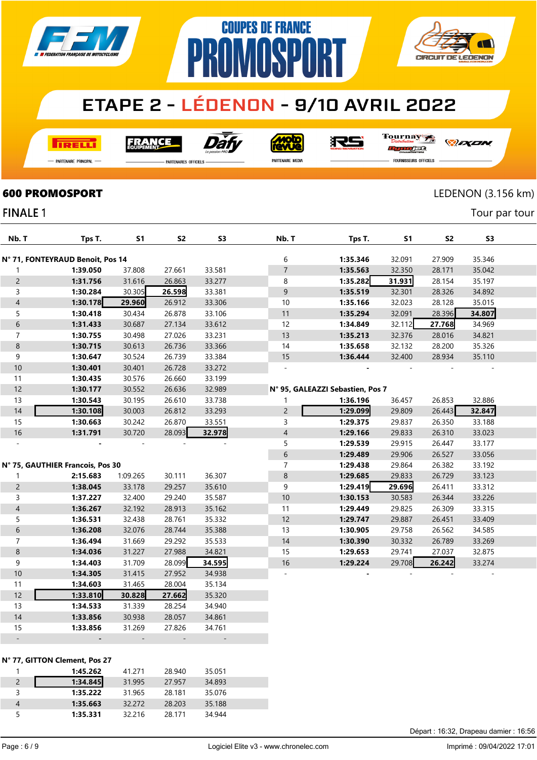

**COUPES DE FRANCE** 

**MARP** 

**TRELLI** 

Dăf **FRANCE** 



RS

Tournay

*DEXEN* 

**CIRCUIT DE LEDENON** 

- Partenaire Principal

**FINALE 1** 

**PARTENAIRES OFFICIELS** 

PR

PARTENAIRE MEDIA

ng ng se **FOURNISSEURS OFFICIELS** 

#### **600 PROMOSPORT** LEDENON (3.156 km)

**AVE** 

Tour par tour

| Nb. T            | Tps T.                           | S1       | S2     | S3     | Nb. T          | Tps T.                           | S1     | S2     | S3     |  |
|------------------|----------------------------------|----------|--------|--------|----------------|----------------------------------|--------|--------|--------|--|
|                  | N° 71, FONTEYRAUD Benoit, Pos 14 |          |        |        | 6              | 1:35.346                         | 32.091 | 27.909 | 35.346 |  |
| $\mathbf{1}$     | 1:39.050                         | 37.808   | 27.661 | 33.581 | $\overline{7}$ | 1:35.563                         | 32.350 | 28.171 | 35.042 |  |
| $\overline{2}$   | 1:31.756                         | 31.616   | 26.863 | 33.277 | 8              | 1:35.282                         | 31.931 | 28.154 | 35.197 |  |
| 3                | 1:30.284                         | 30.305   | 26.598 | 33.381 | 9              | 1:35.519                         | 32.301 | 28.326 | 34.892 |  |
| $\overline{4}$   | 1:30.178                         | 29.960   | 26.912 | 33.306 | 10             | 1:35.166                         | 32.023 | 28.128 | 35.015 |  |
| 5                | 1:30.418                         | 30.434   | 26.878 | 33.106 | 11             | 1:35.294                         | 32.091 | 28.396 | 34.807 |  |
| $\boldsymbol{6}$ | 1:31.433                         | 30.687   | 27.134 | 33.612 | 12             | 1:34.849                         | 32.112 | 27.768 | 34.969 |  |
| $\overline{7}$   | 1:30.755                         | 30.498   | 27.026 | 33.231 | 13             | 1:35.213                         | 32.376 | 28.016 | 34.821 |  |
| $\,8\,$          | 1:30.715                         | 30.613   | 26.736 | 33.366 | 14             | 1:35.658                         | 32.132 | 28.200 | 35.326 |  |
| 9                | 1:30.647                         | 30.524   | 26.739 | 33.384 | 15             | 1:36.444                         | 32.400 | 28.934 | 35.110 |  |
| 10               | 1:30.401                         | 30.401   | 26.728 | 33.272 | ä,             |                                  |        |        |        |  |
| 11               | 1:30.435                         | 30.576   | 26.660 | 33.199 |                |                                  |        |        |        |  |
| 12               | 1:30.177                         | 30.552   | 26.636 | 32.989 |                | N° 95, GALEAZZI Sebastien, Pos 7 |        |        |        |  |
| 13               | 1:30.543                         | 30.195   | 26.610 | 33.738 | $\mathbf{1}$   | 1:36.196                         | 36.457 | 26.853 | 32.886 |  |
| 14               | 1:30.108                         | 30.003   | 26.812 | 33.293 | $\overline{c}$ | 1:29.099                         | 29.809 | 26.443 | 32.847 |  |
| 15               | 1:30.663                         | 30.242   | 26.870 | 33.551 | 3              | 1:29.375                         | 29.837 | 26.350 | 33.188 |  |
| 16               | 1:31.791                         | 30.720   | 28.093 | 32.978 | $\overline{4}$ | 1:29.166                         | 29.833 | 26.310 | 33.023 |  |
| $\bar{a}$        |                                  |          |        |        | 5              | 1:29.539                         | 29.915 | 26.447 | 33.177 |  |
|                  |                                  |          |        |        | 6              | 1:29.489                         | 29.906 | 26.527 | 33.056 |  |
|                  | N° 75, GAUTHIER Francois, Pos 30 |          |        |        | $\overline{7}$ | 1:29.438                         | 29.864 | 26.382 | 33.192 |  |
| $\mathbf{1}$     | 2:15.683                         | 1:09.265 | 30.111 | 36.307 | 8              | 1:29.685                         | 29.833 | 26.729 | 33.123 |  |
| $\overline{2}$   | 1:38.045                         | 33.178   | 29.257 | 35.610 | 9              | 1:29.419                         | 29.696 | 26.411 | 33.312 |  |
| 3                | 1:37.227                         | 32.400   | 29.240 | 35.587 | 10             | 1:30.153                         | 30.583 | 26.344 | 33.226 |  |
| $\overline{4}$   | 1:36.267                         | 32.192   | 28.913 | 35.162 | 11             | 1:29.449                         | 29.825 | 26.309 | 33.315 |  |
| 5                | 1:36.531                         | 32.438   | 28.761 | 35.332 | 12             | 1:29.747                         | 29.887 | 26.451 | 33.409 |  |
| $\sqrt{6}$       | 1:36.208                         | 32.076   | 28.744 | 35.388 | 13             | 1:30.905                         | 29.758 | 26.562 | 34.585 |  |
| $\overline{7}$   | 1:36.494                         | 31.669   | 29.292 | 35.533 | 14             | 1:30.390                         | 30.332 | 26.789 | 33.269 |  |
| $\,8\,$          | 1:34.036                         | 31.227   | 27.988 | 34.821 | 15             | 1:29.653                         | 29.741 | 27.037 | 32.875 |  |
| 9                | 1:34.403                         | 31.709   | 28.099 | 34.595 | 16             | 1:29.224                         | 29.708 | 26.242 | 33.274 |  |
| 10               | 1:34.305                         | 31.415   | 27.952 | 34.938 | $\overline{a}$ |                                  |        |        |        |  |
| 11               | 1:34.603                         | 31.465   | 28.004 | 35.134 |                |                                  |        |        |        |  |
| 12               | 1:33.810                         | 30.828   | 27.662 | 35.320 |                |                                  |        |        |        |  |
| 13               | 1:34.533                         | 31.339   | 28.254 | 34.940 |                |                                  |        |        |        |  |
| 14               | 1:33.856                         | 30.938   | 28.057 | 34.861 |                |                                  |        |        |        |  |
| 15               | 1:33.856                         | 31.269   | 27.826 | 34.761 |                |                                  |        |        |        |  |
| $\Box$           |                                  |          |        |        |                |                                  |        |        |        |  |
|                  | N° 77, GITTON Clement, Pos 27    |          |        |        |                |                                  |        |        |        |  |
| $\mathbf{1}$     | 1:45.262                         | 41.271   | 28.940 | 35.051 |                |                                  |        |        |        |  |
| $\overline{c}$   | 1:34.845                         | 31.995   | 27.957 | 34.893 |                |                                  |        |        |        |  |
| 3                | 1:35.222                         | 31.965   | 28.181 | 35.076 |                |                                  |        |        |        |  |
|                  |                                  |          |        |        |                |                                  |        |        |        |  |

 1:35.663 32.272 28.203 35.188 1:35.331 32.216 28.171 34.944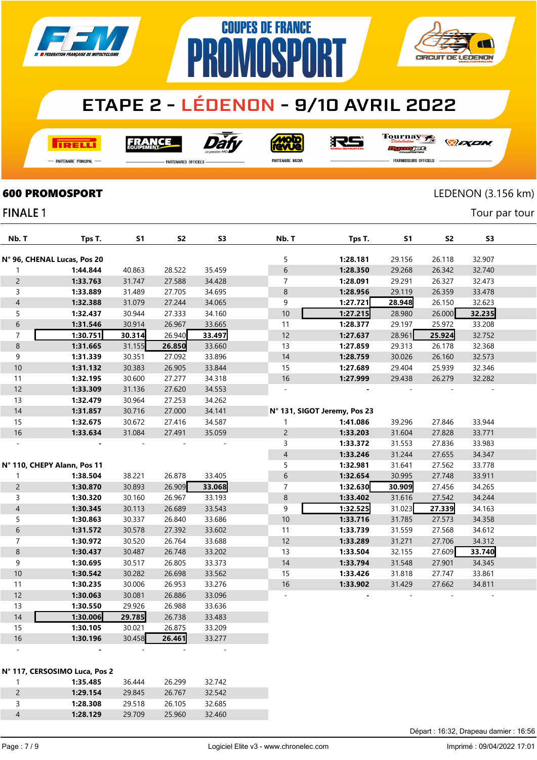

**COUPES DE FRANCE** 

**PROMOSPORT** 

**I तत्वच**र्च

Dài **FRANCE** 

<u>ajor</u>

沢ら

Tournay rse

-<br>Partenaire Principal

**FINALE 1** 

.<br>PARTENAIRES OFFICIELS

PARTENAIRE MEDIA

*DEXEN* 

**CIRCUIT DE LEDENON** 

FOURNISSEURS OFFICIELS

#### **600 PROMOSPORT** LEDENON (3.156 km)

Tour par tour

| Nb. T                    | Tps T.                        | <b>S1</b> | S <sub>2</sub> | S <sub>3</sub> | Nb. T                        | Tps T.   | <b>S1</b> | S <sub>2</sub> | S3     |  |
|--------------------------|-------------------------------|-----------|----------------|----------------|------------------------------|----------|-----------|----------------|--------|--|
|                          |                               |           |                |                |                              |          |           |                |        |  |
|                          | N° 96, CHENAL Lucas, Pos 20   |           |                |                | 5                            | 1:28.181 | 29.156    | 26.118         | 32.907 |  |
| 1                        | 1:44.844                      | 40.863    | 28.522         | 35.459         | $\,$ 6 $\,$                  | 1:28.350 | 29.268    | 26.342         | 32.740 |  |
| $\overline{c}$           | 1:33.763                      | 31.747    | 27.588         | 34.428         | $\overline{7}$               | 1:28.091 | 29.291    | 26.327         | 32.473 |  |
| 3                        | 1:33.889                      | 31.489    | 27.705         | 34.695         | $\,8\,$                      | 1:28.956 | 29.119    | 26.359         | 33.478 |  |
| $\overline{\mathcal{L}}$ | 1:32.388                      | 31.079    | 27.244         | 34.065         | 9                            | 1:27.721 | 28.948    | 26.150         | 32.623 |  |
| 5                        | 1:32.437                      | 30.944    | 27.333         | 34.160         | 10                           | 1:27.215 | 28.980    | 26.000         | 32.235 |  |
| 6                        | 1:31.546                      | 30.914    | 26.967         | 33.665         | 11                           | 1:28.377 | 29.197    | 25.972         | 33.208 |  |
| $\overline{7}$           | 1:30.751                      | 30.314    | 26.940         | 33.497         | 12                           | 1:27.637 | 28.961    | 25.924         | 32.752 |  |
| $\bf 8$                  | 1:31.665                      | 31.155    | 26.850         | 33.660         | 13                           | 1:27.859 | 29.313    | 26.178         | 32.368 |  |
| 9                        | 1:31.339                      | 30.351    | 27.092         | 33.896         | 14                           | 1:28.759 | 30.026    | 26.160         | 32.573 |  |
| $10\,$                   | 1:31.132                      | 30.383    | 26.905         | 33.844         | 15                           | 1:27.689 | 29.404    | 25.939         | 32.346 |  |
| 11                       | 1:32.195                      | 30.600    | 27.277         | 34.318         | 16                           | 1:27.999 | 29.438    | 26.279         | 32.282 |  |
| 12                       | 1:33.309                      | 31.136    | 27.620         | 34.553         | ÷,                           |          |           |                |        |  |
| 13                       | 1:32.479                      | 30.964    | 27.253         | 34.262         |                              |          |           |                |        |  |
| $14$                     | 1:31.857                      | 30.716    | 27.000         | 34.141         | N° 131, SIGOT Jeremy, Pos 23 |          |           |                |        |  |
| 15                       | 1:32.675                      | 30.672    | 27.416         | 34.587         | 1                            | 1:41.086 | 39.296    | 27.846         | 33.944 |  |
| $16$                     | 1:33.634                      | 31.084    | 27.491         | 35.059         | $\overline{c}$               | 1:33.203 | 31.604    | 27.828         | 33.771 |  |
|                          |                               |           |                |                | 3                            | 1:33.372 | 31.553    | 27.836         | 33.983 |  |
|                          |                               |           |                |                | $\overline{4}$               | 1:33.246 | 31.244    | 27.655         | 34.347 |  |
|                          | N° 110, CHEPY Alann, Pos 11   |           |                |                | 5                            | 1:32.981 | 31.641    | 27.562         | 33.778 |  |
| 1                        | 1:38.504                      | 38.221    | 26.878         | 33.405         | 6                            | 1:32.654 | 30.995    | 27.748         | 33.911 |  |
| $\overline{c}$           | 1:30.870                      | 30.893    | 26.909         | 33.068         | $\overline{7}$               | 1:32.630 | 30.909    | 27.456         | 34.265 |  |
| 3                        | 1:30.320                      | 30.160    | 26.967         | 33.193         | $\,8\,$                      | 1:33.402 | 31.616    | 27.542         | 34.244 |  |
| $\overline{\mathcal{L}}$ | 1:30.345                      | 30.113    | 26.689         | 33.543         | 9                            | 1:32.525 | 31.023    | 27.339         | 34.163 |  |
| 5                        | 1:30.863                      | 30.337    | 26.840         | 33.686         | 10                           | 1:33.716 | 31.785    | 27.573         | 34.358 |  |
| 6                        | 1:31.572                      | 30.578    | 27.392         | 33.602         | 11                           | 1:33.739 | 31.559    | 27.568         | 34.612 |  |
| $\overline{7}$           | 1:30.972                      | 30.520    | 26.764         | 33.688         | 12                           | 1:33.289 | 31.271    | 27.706         | 34.312 |  |
| 8                        | 1:30.437                      | 30.487    | 26.748         | 33.202         | 13                           | 1:33.504 | 32.155    | 27.609         | 33.740 |  |
| 9                        | 1:30.695                      | 30.517    | 26.805         | 33.373         | 14                           | 1:33.794 | 31.548    | 27.901         | 34.345 |  |
| $10\,$                   | 1:30.542                      | 30.282    | 26.698         | 33.562         | 15                           | 1:33.426 | 31.818    | 27.747         | 33.861 |  |
| 11                       | 1:30.235                      | 30.006    | 26.953         | 33.276         | 16                           | 1:33.902 | 31.429    | 27.662         | 34.811 |  |
| 12                       | 1:30.063                      | 30.081    | 26.886         | 33.096         |                              |          |           |                |        |  |
| 13                       | 1:30.550                      | 29.926    | 26.988         | 33.636         |                              |          |           |                |        |  |
| 14                       | 1:30.006                      | 29.785    | 26.738         | 33.483         |                              |          |           |                |        |  |
| 15                       | 1:30.105                      | 30.021    | 26.875         | 33.209         |                              |          |           |                |        |  |
| $16$                     | 1:30.196                      | 30.458    | 26.461         | 33.277         |                              |          |           |                |        |  |
|                          |                               |           |                |                |                              |          |           |                |        |  |
|                          |                               |           |                |                |                              |          |           |                |        |  |
|                          | N° 117, CERSOSIMO Luca, Pos 2 |           |                |                |                              |          |           |                |        |  |
| 1                        | 1:35.485                      | 36.444    | 26.299         | 32.742         |                              |          |           |                |        |  |
| $\overline{c}$           | 1:29.154                      | 29.845    | 26.767         | 32.542         |                              |          |           |                |        |  |
| $\mathsf{3}$             | 1:28.308                      | 29.518    | 26.105         | 32.685         |                              |          |           |                |        |  |
| $\overline{\mathcal{L}}$ | 1:28.129                      | 29.709    | 25.960         | 32.460         |                              |          |           |                |        |  |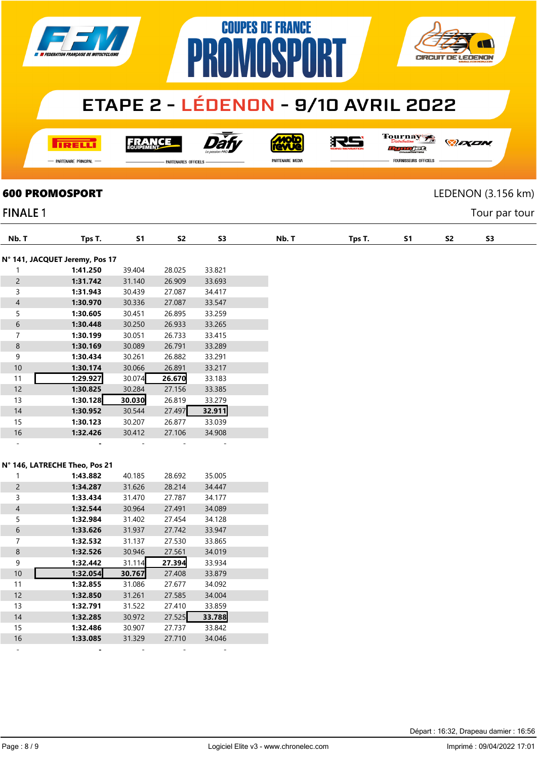

**COUPES DE FRANCE** 

**NMNSP** 

**I तत्वच**र्च

**FRANCE** 



<u>Molo</u><br>AVVe

沢ら

Tournay rec

*DEXEN* 

**CIRCUIT DE LEDENON** 

Tour par tour

- Partenaire Principal

**PARTENAIRES OFFICIELS** 

PR

PARTENAIRE MEDIA

**FOURNISSEURS OFFICIELS** 

# **600 PROMOSPORT** LEDENON (3.156 km)

#### **FINALE 1**

| Nb. T                    | Tps T.                         | <b>S1</b> | S <sub>2</sub> | <b>S3</b> | Nb. T | Tps T. | <b>S1</b> | S <sub>2</sub> |
|--------------------------|--------------------------------|-----------|----------------|-----------|-------|--------|-----------|----------------|
|                          | N° 141, JACQUET Jeremy, Pos 17 |           |                |           |       |        |           |                |
| $\mathbf{1}$             | 1:41.250                       | 39.404    | 28.025         | 33.821    |       |        |           |                |
| $\overline{c}$           | 1:31.742                       | 31.140    | 26.909         | 33.693    |       |        |           |                |
| 3                        | 1:31.943                       | 30.439    | 27.087         | 34.417    |       |        |           |                |
| $\overline{\mathcal{A}}$ | 1:30.970                       | 30.336    | 27.087         | 33.547    |       |        |           |                |
| 5                        | 1:30.605                       | 30.451    | 26.895         | 33.259    |       |        |           |                |
| $\sqrt{6}$               | 1:30.448                       | 30.250    | 26.933         | 33.265    |       |        |           |                |
| $\overline{7}$           | 1:30.199                       | 30.051    | 26.733         | 33.415    |       |        |           |                |
| $\bf 8$                  | 1:30.169                       | 30.089    | 26.791         | 33.289    |       |        |           |                |
| 9                        | 1:30.434                       | 30.261    | 26.882         | 33.291    |       |        |           |                |
| 10                       | 1:30.174                       | 30.066    | 26.891         | 33.217    |       |        |           |                |
| 11                       | 1:29.927                       | 30.074    | 26.670         | 33.183    |       |        |           |                |
| 12                       | 1:30.825                       | 30.284    | 27.156         | 33.385    |       |        |           |                |
| 13                       | 1:30.128                       | 30.030    | 26.819         | 33.279    |       |        |           |                |
| $14$                     | 1:30.952                       | 30.544    | 27.497         | 32.911    |       |        |           |                |
| 15                       | 1:30.123                       | 30.207    | 26.877         | 33.039    |       |        |           |                |
| 16                       | 1:32.426                       | 30.412    | 27.106         | 34.908    |       |        |           |                |
| $\omega$                 |                                |           |                |           |       |        |           |                |
|                          |                                |           |                |           |       |        |           |                |
|                          | N° 146, LATRECHE Theo, Pos 21  |           |                |           |       |        |           |                |
| $\mathbf{1}$             | 1:43.882                       | 40.185    | 28.692         | 35.005    |       |        |           |                |
| $\overline{c}$           | 1:34.287                       | 31.626    | 28.214         | 34.447    |       |        |           |                |
| 3                        | 1:33.434                       | 31.470    | 27.787         | 34.177    |       |        |           |                |
| $\overline{\mathcal{L}}$ | 1:32.544                       | 30.964    | 27.491         | 34.089    |       |        |           |                |
| 5                        | 1:32.984                       | 31.402    | 27.454         | 34.128    |       |        |           |                |
| $6\,$                    | 1:33.626                       | 31.937    | 27.742         | 33.947    |       |        |           |                |
| $\overline{7}$           | 1:32.532                       | 31.137    | 27.530         | 33.865    |       |        |           |                |
|                          | 1:32.526                       | 30.946    |                | 34.019    |       |        |           |                |
| $\bf 8$<br>9             |                                |           | 27.561         |           |       |        |           |                |
| $10\,$                   | 1:32.442                       | 31.114    | 27.394         | 33.934    |       |        |           |                |
|                          | 1:32.054                       | 30.767    | 27.408         | 33.879    |       |        |           |                |
| 11                       | 1:32.855                       | 31.086    | 27.677         | 34.092    |       |        |           |                |
| $12$                     | 1:32.850                       | 31.261    | 27.585         | 34.004    |       |        |           |                |
| 13                       | 1:32.791                       | 31.522    | 27.410         | 33.859    |       |        |           |                |
| $14$                     | 1:32.285                       | 30.972    | 27.525         | 33.788    |       |        |           |                |
| 15                       | 1:32.486                       | 30.907    | 27.737         | 33.842    |       |        |           |                |
| 16                       | 1:33.085                       | 31.329    | 27.710         | 34.046    |       |        |           |                |